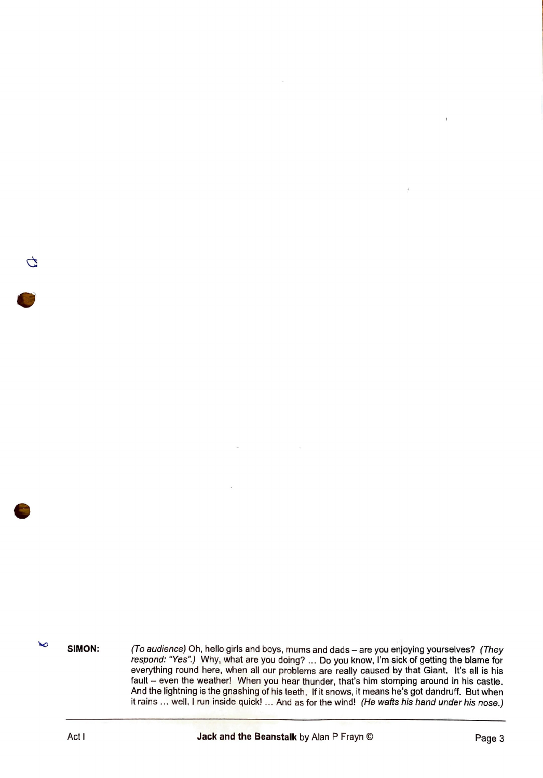**SIMON:**  (To audience) Oh, hello girls and boys, mums and dads - are you enjoying yourselves? (They respond: "Yes".) Why, what are you doing? ... Do you know, I'm sick of getting the blame for everything round here, when all our problems are really caused by that Giant. It's all is his fault - even the weather! When you hear thunder, that's him stomping around in his castle. And the lightning is the gnashing of his teeth. If it snows, it means he's got dandruff. But when it rains ... well. I run inside quick! ... And as for the wind! (He wafts his hand under his nose.)

 $\sim$ 

G

 $\hat{\mathbf{r}}$